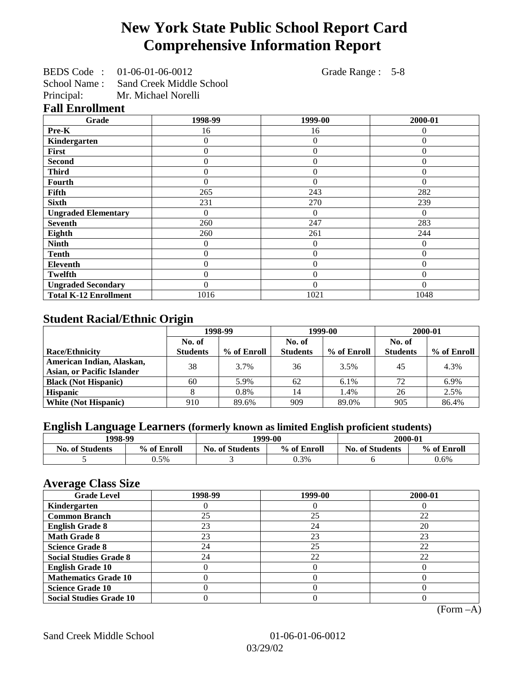# **New York State Public School Report Card Comprehensive Information Report**

|            | BEDS Code: 01-06-01-06-0012           |
|------------|---------------------------------------|
|            | School Name: Sand Creek Middle School |
| Principal: | Mr. Michael Norelli                   |

Grade Range : 5-8

#### **Fall Enrollment**

| Grade                        | 1998-99        | 1999-00        | 2000-01  |
|------------------------------|----------------|----------------|----------|
| Pre-K                        | 16             | 16             | $\theta$ |
| Kindergarten                 | 0              | $\overline{0}$ | $\Omega$ |
| First                        | $\overline{0}$ | $\overline{0}$ | $\Omega$ |
| <b>Second</b>                | 0              | $\theta$       | $\Omega$ |
| <b>Third</b>                 | 0              | 0              | $\Omega$ |
| <b>Fourth</b>                | 0              | $\theta$       | $\theta$ |
| Fifth                        | 265            | 243            | 282      |
| <b>Sixth</b>                 | 231            | 270            | 239      |
| <b>Ungraded Elementary</b>   | 0              | $\Omega$       | $\Omega$ |
| <b>Seventh</b>               | 260            | 247            | 283      |
| Eighth                       | 260            | 261            | 244      |
| <b>Ninth</b>                 | 0              | $\theta$       | $\Omega$ |
| <b>Tenth</b>                 | 0              | $\overline{0}$ | $\Omega$ |
| Eleventh                     | 0              | $\overline{0}$ | $\Omega$ |
| <b>Twelfth</b>               | $\overline{0}$ | $\overline{0}$ | $\Omega$ |
| <b>Ungraded Secondary</b>    | 0              | $\theta$       | $\Omega$ |
| <b>Total K-12 Enrollment</b> | 1016           | 1021           | 1048     |

## **Student Racial/Ethnic Origin**

|                                   | 1998-99         |             | 1999-00         |             | 2000-01         |             |
|-----------------------------------|-----------------|-------------|-----------------|-------------|-----------------|-------------|
|                                   | No. of          |             |                 | No. of      |                 |             |
| Race/Ethnicity                    | <b>Students</b> | % of Enroll | <b>Students</b> | % of Enroll | <b>Students</b> | % of Enroll |
| American Indian, Alaskan,         | 38              | 3.7%        | 36              | 3.5%        | 45              | 4.3%        |
| <b>Asian, or Pacific Islander</b> |                 |             |                 |             |                 |             |
| <b>Black (Not Hispanic)</b>       | 60              | 5.9%        | 62              | 6.1%        | 72              | 6.9%        |
| <b>Hispanic</b>                   |                 | 0.8%        | 14              | 1.4%        | 26              | 2.5%        |
| <b>White (Not Hispanic)</b>       | 910             | 89.6%       | 909             | 89.0%       | 905             | 86.4%       |

## **English Language Learners (formerly known as limited English proficient students)**

| 1998-99                |             |                        | 1999-00     | 2000-01                |             |  |
|------------------------|-------------|------------------------|-------------|------------------------|-------------|--|
| <b>No. of Students</b> | % of Enroll | <b>No. of Students</b> | % of Enroll | <b>No. of Students</b> | % of Enroll |  |
|                        | 0.5%        |                        | 0.3%        |                        | 0.6%        |  |

### **Average Class Size**

| o<br><b>Grade Level</b>        | 1998-99 | 1999-00 | 2000-01 |
|--------------------------------|---------|---------|---------|
| Kindergarten                   |         |         |         |
| <b>Common Branch</b>           | 25      | 25      | 22      |
| <b>English Grade 8</b>         | 23      | 24      | 20      |
| <b>Math Grade 8</b>            | 23      | 23      | 23      |
| <b>Science Grade 8</b>         | 24      | 25      | 22      |
| <b>Social Studies Grade 8</b>  | 24      | 22      | 22      |
| <b>English Grade 10</b>        |         |         |         |
| <b>Mathematics Grade 10</b>    |         |         |         |
| <b>Science Grade 10</b>        |         |         |         |
| <b>Social Studies Grade 10</b> |         |         |         |

(Form –A)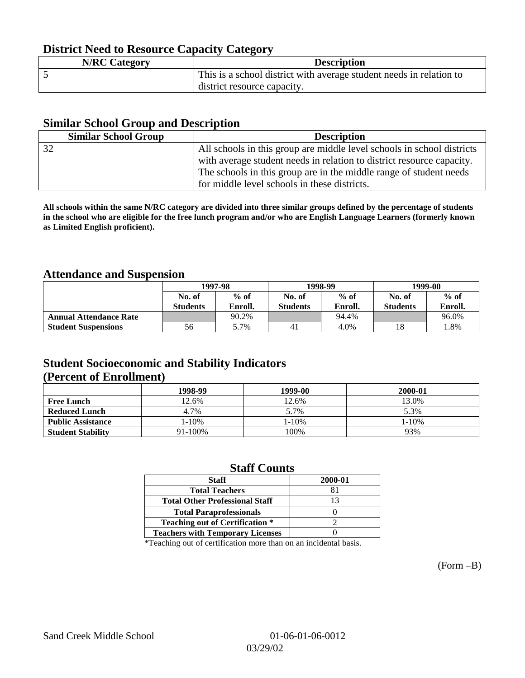## **District Need to Resource Capacity Category**

| <b>N/RC Category</b> | <b>Description</b>                                                  |
|----------------------|---------------------------------------------------------------------|
|                      | This is a school district with average student needs in relation to |
|                      | district resource capacity.                                         |

#### **Similar School Group and Description**

| <b>Similar School Group</b>                                           | <b>Description</b>                                                     |  |  |  |  |
|-----------------------------------------------------------------------|------------------------------------------------------------------------|--|--|--|--|
| 32                                                                    | All schools in this group are middle level schools in school districts |  |  |  |  |
| with average student needs in relation to district resource capacity. |                                                                        |  |  |  |  |
|                                                                       | The schools in this group are in the middle range of student needs     |  |  |  |  |
|                                                                       | for middle level schools in these districts.                           |  |  |  |  |

**All schools within the same N/RC category are divided into three similar groups defined by the percentage of students in the school who are eligible for the free lunch program and/or who are English Language Learners (formerly known as Limited English proficient).**

#### **Attendance and Suspension**

|                               |                 | 1997-98 |                 | 1998-99 | 1999-00         |         |
|-------------------------------|-----------------|---------|-----------------|---------|-----------------|---------|
|                               | No. of          | $%$ of  | No. of          | $%$ of  | No. of          | $%$ of  |
|                               | <b>Students</b> | Enroll. | <b>Students</b> | Enroll. | <b>Students</b> | Enroll. |
| <b>Annual Attendance Rate</b> |                 | 90.2%   |                 | 94.4%   |                 | 96.0%   |
| <b>Student Suspensions</b>    | 56              | 5.7%    | 41              | 4.0%    | 18              | 1.8%    |

### **Student Socioeconomic and Stability Indicators (Percent of Enrollment)**

|                          | 1998-99 | 1999-00 | 2000-01 |
|--------------------------|---------|---------|---------|
| <b>Free Lunch</b>        | 12.6%   | 12.6%   | 13.0%   |
| <b>Reduced Lunch</b>     | 4.7%    | 5.7%    | 5.3%    |
| <b>Public Assistance</b> | 1-10%   | 1-10%   | 1-10%   |
| <b>Student Stability</b> | 91-100% | 100%    | 93%     |

#### **Staff Counts**

| <b>Staff</b>                            | 2000-01 |
|-----------------------------------------|---------|
| <b>Total Teachers</b>                   |         |
| <b>Total Other Professional Staff</b>   |         |
| <b>Total Paraprofessionals</b>          |         |
| <b>Teaching out of Certification *</b>  |         |
| <b>Teachers with Temporary Licenses</b> |         |

\*Teaching out of certification more than on an incidental basis.

(Form –B)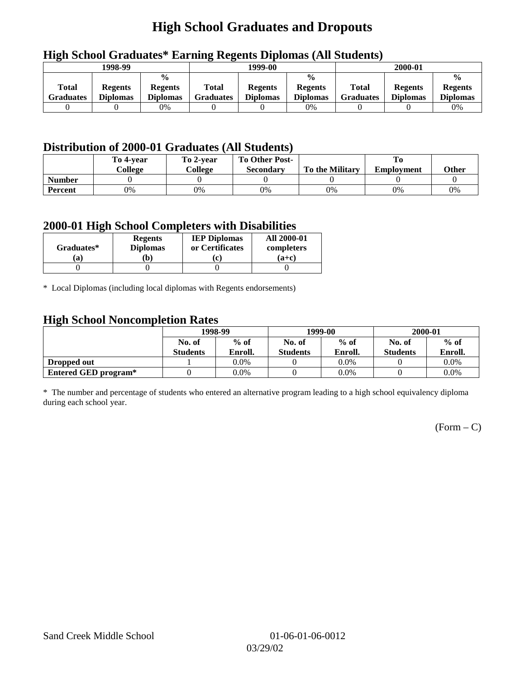## **High School Graduates and Dropouts**

| .                |                 |                 |                  |                 |                 |                  |                 |                 |  |  |
|------------------|-----------------|-----------------|------------------|-----------------|-----------------|------------------|-----------------|-----------------|--|--|
| 1998-99          |                 |                 |                  | 1999-00         |                 |                  | 2000-01         |                 |  |  |
|                  |                 | $\frac{0}{0}$   | $\frac{0}{0}$    |                 |                 |                  |                 | $\frac{0}{0}$   |  |  |
| <b>Total</b>     | <b>Regents</b>  | <b>Regents</b>  | Total            | <b>Regents</b>  | <b>Regents</b>  | <b>Total</b>     | <b>Regents</b>  | <b>Regents</b>  |  |  |
| <b>Graduates</b> | <b>Diplomas</b> | <b>Diplomas</b> | <b>Graduates</b> | <b>Diplomas</b> | <b>Diplomas</b> | <b>Graduates</b> | <b>Diplomas</b> | <b>Diplomas</b> |  |  |
|                  |                 | $0\%$           |                  |                 | 0%              |                  |                 | 0%              |  |  |

## **High School Graduates\* Earning Regents Diplomas (All Students)**

## **Distribution of 2000-01 Graduates (All Students)**

|               | To 4-vear | To 2-year | <b>To Other Post-</b> |                        |                   |       |
|---------------|-----------|-----------|-----------------------|------------------------|-------------------|-------|
|               | College   | College   | Secondary             | <b>To the Military</b> | <b>Employment</b> | Other |
| <b>Number</b> |           |           |                       |                        |                   |       |
| Percent       | 0%        | 0%        | 0%                    | 0%                     | $0\%$             | 0%    |

#### **2000-01 High School Completers with Disabilities**

| Graduates* | <b>Regents</b><br><b>Diplomas</b> | <b>IEP Diplomas</b><br>or Certificates | <b>All 2000-01</b><br>completers |
|------------|-----------------------------------|----------------------------------------|----------------------------------|
| `a         | $\mathbf{b}$                      | $ {\bf c} $                            | $(a+c)$                          |
|            |                                   |                                        |                                  |

\* Local Diplomas (including local diplomas with Regents endorsements)

### **High School Noncompletion Rates**

| $\tilde{\phantom{a}}$ | 1998-99          |         |                  | 1999-00 | 2000-01         |         |
|-----------------------|------------------|---------|------------------|---------|-----------------|---------|
|                       | $%$ of<br>No. of |         | $%$ of<br>No. of |         | No. of          | $%$ of  |
|                       | <b>Students</b>  | Enroll. | <b>Students</b>  | Enroll. | <b>Students</b> | Enroll. |
| Dropped out           |                  | $0.0\%$ |                  | $0.0\%$ |                 | $0.0\%$ |
| Entered GED program*  |                  | 0.0%    |                  | $0.0\%$ |                 | $0.0\%$ |

\* The number and percentage of students who entered an alternative program leading to a high school equivalency diploma during each school year.

 $(Form - C)$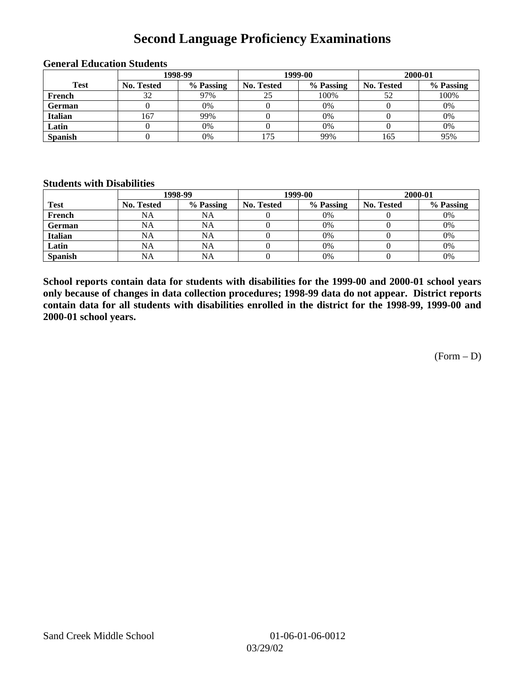## **Second Language Proficiency Examinations**

|                | 1998-99    |           |                   | 1999-00   | 2000-01           |           |
|----------------|------------|-----------|-------------------|-----------|-------------------|-----------|
| <b>Test</b>    | No. Tested | % Passing | <b>No. Tested</b> | % Passing | <b>No. Tested</b> | % Passing |
| French         | 32         | 97%       | 25                | 100%      | 52                | 100%      |
| <b>German</b>  |            | 0%        |                   | 0%        |                   | 0%        |
| <b>Italian</b> | 167        | 99%       |                   | 0%        |                   | 0%        |
| Latin          |            | 0%        |                   | 0%        |                   | 0%        |
| <b>Spanish</b> |            | 0%        | 175               | 99%       | 165               | 95%       |

#### **General Education Students**

#### **Students with Disabilities**

|                | 1998-99           |           |                   | 1999-00   | 2000-01           |           |  |
|----------------|-------------------|-----------|-------------------|-----------|-------------------|-----------|--|
| <b>Test</b>    | <b>No. Tested</b> | % Passing | <b>No. Tested</b> | % Passing | <b>No. Tested</b> | % Passing |  |
| French         | NA                | NA        |                   | 0%        |                   | 0%        |  |
| <b>German</b>  | NA                | NA        |                   | 0%        |                   | 0%        |  |
| <b>Italian</b> | <b>NA</b>         | NA        |                   | 0%        |                   | 0%        |  |
| Latin          | NA                | <b>NA</b> |                   | 0%        |                   | 0%        |  |
| <b>Spanish</b> | <b>NA</b>         | NA        |                   | 0%        |                   | 0%        |  |

**School reports contain data for students with disabilities for the 1999-00 and 2000-01 school years only because of changes in data collection procedures; 1998-99 data do not appear. District reports contain data for all students with disabilities enrolled in the district for the 1998-99, 1999-00 and 2000-01 school years.**

(Form – D)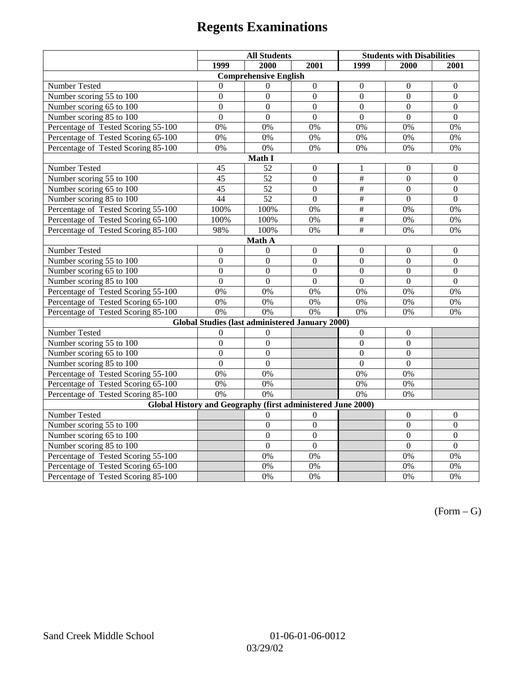# **Regents Examinations**

|                                                             | <b>All Students</b> |                                                        |                  | <b>Students with Disabilities</b> |                  |                  |  |  |
|-------------------------------------------------------------|---------------------|--------------------------------------------------------|------------------|-----------------------------------|------------------|------------------|--|--|
|                                                             | 1999                | 2000                                                   | 2001             | 1999                              | 2000             | 2001             |  |  |
| <b>Comprehensive English</b>                                |                     |                                                        |                  |                                   |                  |                  |  |  |
| Number Tested                                               | $\theta$            | $\Omega$                                               | $\boldsymbol{0}$ | $\Omega$                          | $\Omega$         | $\mathbf{0}$     |  |  |
| Number scoring $55 \overline{\text{to } 100}$               | $\mathbf{0}$        | $\mathbf{0}$                                           | $\Omega$         | $\Omega$                          | $\Omega$         | $\Omega$         |  |  |
| Number scoring 65 to 100                                    | $\overline{0}$      | $\overline{0}$                                         | $\overline{0}$   | $\overline{0}$                    | $\overline{0}$   | $\boldsymbol{0}$ |  |  |
| Number scoring 85 to 100                                    | $\overline{0}$      | $\overline{0}$                                         | $\overline{0}$   | $\overline{0}$                    | $\overline{0}$   | $\overline{0}$   |  |  |
| Percentage of Tested Scoring 55-100                         | 0%                  | 0%                                                     | 0%               | 0%                                | 0%               | 0%               |  |  |
| Percentage of Tested Scoring 65-100                         | 0%                  | 0%                                                     | 0%               | 0%                                | 0%               | 0%               |  |  |
| Percentage of Tested Scoring 85-100                         | 0%                  | 0%                                                     | 0%               | 0%                                | 0%               | 0%               |  |  |
|                                                             |                     | Math I                                                 |                  |                                   |                  |                  |  |  |
| Number Tested                                               | 45                  | 52                                                     | $\mathbf{0}$     | 1                                 | $\boldsymbol{0}$ | $\boldsymbol{0}$ |  |  |
| Number scoring 55 to 100                                    | 45                  | $\overline{52}$                                        | $\overline{0}$   | $\overline{\overline{t}}$         | $\overline{0}$   | $\boldsymbol{0}$ |  |  |
| Number scoring 65 to 100                                    | 45                  | 52                                                     | $\boldsymbol{0}$ | $\#$                              | $\mathbf{0}$     | $\mathbf{0}$     |  |  |
| Number scoring 85 to 100                                    | 44                  | $\overline{52}$                                        | $\overline{0}$   | $\overline{\overline{t}}$         | $\overline{0}$   | $\overline{0}$   |  |  |
| Percentage of Tested Scoring 55-100                         | 100%                | 100%                                                   | 0%               | $\overline{\#}$                   | 0%               | 0%               |  |  |
| Percentage of Tested Scoring 65-100                         | 100%                | 100%                                                   | 0%               | $\frac{1}{2}$                     | 0%               | 0%               |  |  |
| Percentage of Tested Scoring 85-100                         | 98%                 | 100%                                                   | 0%               | $\#$                              | 0%               | 0%               |  |  |
|                                                             |                     | Math A                                                 |                  |                                   |                  |                  |  |  |
| Number Tested                                               | $\boldsymbol{0}$    | $\theta$                                               | $\boldsymbol{0}$ | $\boldsymbol{0}$                  | $\boldsymbol{0}$ | $\boldsymbol{0}$ |  |  |
| Number scoring $5\overline{5}$ to $100$                     | $\mathbf{0}$        | $\mathbf{0}$                                           | $\mathbf{0}$     | $\overline{0}$                    | $\mathbf{0}$     | $\mathbf{0}$     |  |  |
| Number scoring 65 to 100                                    | $\mathbf{0}$        | $\mathbf{0}$                                           | $\overline{0}$   | $\overline{0}$                    | $\mathbf{0}$     | $\mathbf{0}$     |  |  |
| Number scoring 85 to 100                                    | $\overline{0}$      | $\overline{0}$                                         | $\overline{0}$   | $\overline{0}$                    | $\overline{0}$   | $\mathbf{0}$     |  |  |
| Percentage of Tested Scoring 55-100                         | 0%                  | 0%                                                     | 0%               | 0%                                | 0%               | 0%               |  |  |
| Percentage of Tested Scoring 65-100                         | 0%                  | 0%                                                     | 0%               | 0%                                | 0%               | 0%               |  |  |
| Percentage of Tested Scoring 85-100                         | 0%                  | 0%                                                     | 0%               | $0\%$                             | 0%               | 0%               |  |  |
|                                                             |                     | <b>Global Studies (last administered January 2000)</b> |                  |                                   |                  |                  |  |  |
| Number Tested                                               | $\boldsymbol{0}$    | 0                                                      |                  | $\mathbf{0}$                      | $\boldsymbol{0}$ |                  |  |  |
| Number scoring 55 to 100                                    | $\mathbf{0}$        | $\mathbf{0}$                                           |                  | $\overline{0}$                    | $\overline{0}$   |                  |  |  |
| Number scoring 65 to 100                                    | $\overline{0}$      | $\overline{0}$                                         |                  | $\overline{0}$                    | $\mathbf{0}$     |                  |  |  |
| Number scoring 85 to 100                                    | $\overline{0}$      | $\overline{0}$                                         |                  | $\overline{0}$                    | $\overline{0}$   |                  |  |  |
| Percentage of Tested Scoring 55-100                         | 0%                  | 0%                                                     |                  | 0%                                | 0%               |                  |  |  |
| Percentage of Tested Scoring 65-100                         | 0%                  | 0%                                                     |                  | 0%                                | 0%               |                  |  |  |
| Percentage of Tested Scoring 85-100                         | 0%                  | 0%                                                     |                  | 0%                                | 0%               |                  |  |  |
| Global History and Geography (first administered June 2000) |                     |                                                        |                  |                                   |                  |                  |  |  |
| Number Tested                                               |                     | $\theta$                                               | $\overline{0}$   |                                   | $\theta$         | $\mathbf{0}$     |  |  |
| Number scoring 55 to 100                                    |                     | $\mathbf{0}$                                           | $\overline{0}$   |                                   | $\mathbf{0}$     | $\mathbf{0}$     |  |  |
| Number scoring 65 to 100                                    |                     | $\overline{0}$                                         | $\overline{0}$   |                                   | $\overline{0}$   | $\boldsymbol{0}$ |  |  |
| Number scoring 85 to 100                                    |                     | $\overline{0}$                                         | $\overline{0}$   |                                   | $\overline{0}$   | $\mathbf{0}$     |  |  |
| Percentage of Tested Scoring 55-100                         |                     | 0%                                                     | 0%               |                                   | 0%               | 0%               |  |  |
| Percentage of Tested Scoring 65-100                         |                     | 0%                                                     | 0%               |                                   | $0\%$            | $0\%$            |  |  |
| Percentage of Tested Scoring 85-100                         |                     | 0%                                                     | 0%               |                                   | 0%               | 0%               |  |  |

 $(Form - G)$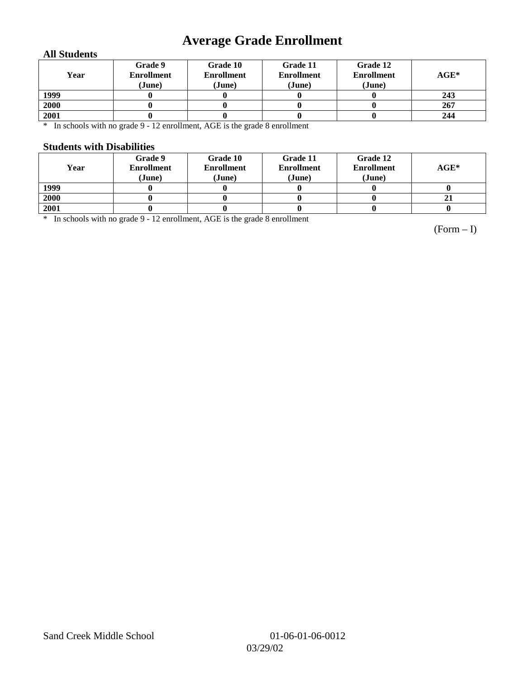# **Average Grade Enrollment**

#### **All Students**

| Year | Grade 9<br><b>Enrollment</b><br>(June) | Grade 10<br><b>Enrollment</b><br>(June) | Grade 11<br><b>Enrollment</b><br>(June) | Grade 12<br><b>Enrollment</b><br>(June) | $AGE^*$ |
|------|----------------------------------------|-----------------------------------------|-----------------------------------------|-----------------------------------------|---------|
| 1999 |                                        |                                         |                                         |                                         | 243     |
| 2000 |                                        |                                         |                                         |                                         | 267     |
| 2001 |                                        |                                         |                                         |                                         | 244     |

\* In schools with no grade 9 - 12 enrollment, AGE is the grade 8 enrollment

#### **Students with Disabilities**

| Year | Grade 9<br><b>Enrollment</b><br>(June) | Grade 10<br><b>Enrollment</b><br>(June) | Grade 11<br><b>Enrollment</b><br>(June) | Grade 12<br><b>Enrollment</b><br>(June) | $AGE^*$ |
|------|----------------------------------------|-----------------------------------------|-----------------------------------------|-----------------------------------------|---------|
| 1999 |                                        |                                         |                                         |                                         |         |
| 2000 |                                        |                                         |                                         |                                         | 21      |
| 2001 |                                        |                                         |                                         |                                         |         |

\* In schools with no grade 9 - 12 enrollment, AGE is the grade 8 enrollment

(Form – I)